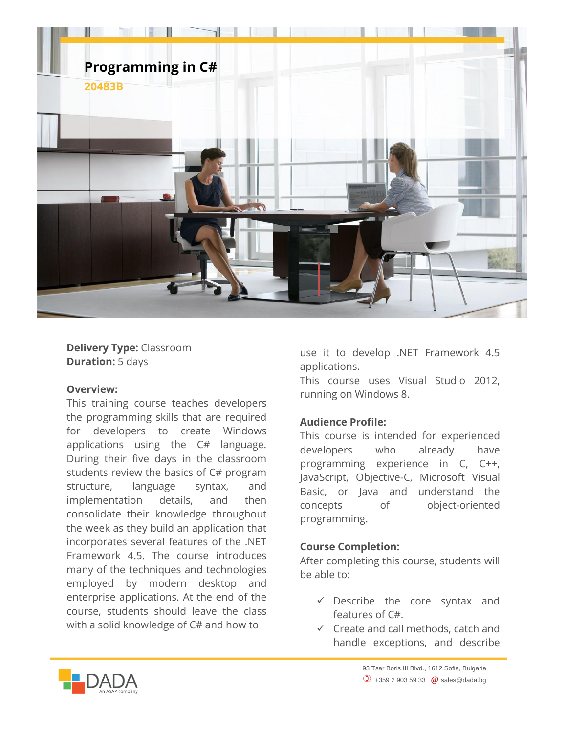

**Delivery Type:** Classroom **Duration:** 5 days

## **Overview:**

This training course teaches developers the programming skills that are required for developers to create Windows applications using the C# language. During their five days in the classroom students review the basics of C# program structure, language syntax, and implementation details, and then consolidate their knowledge throughout the week as they build an application that incorporates several features of the .NET Framework 4.5. The course introduces many of the techniques and technologies employed by modern desktop and enterprise applications. At the end of the course, students should leave the class with a solid knowledge of C# and how to

use it to develop .NET Framework 4.5 applications.

This course uses Visual Studio 2012, running on Windows 8.

## **Audience Profile:**

This course is intended for experienced developers who already have programming experience in C, C++, JavaScript, Objective-C, Microsoft Visual Basic, or Java and understand the concepts of object-oriented programming.

## **Course Completion:**

After completing this course, students will be able to:

- $\checkmark$  Describe the core syntax and features of C#.
- $\checkmark$  Create and call methods, catch and handle exceptions, and describe